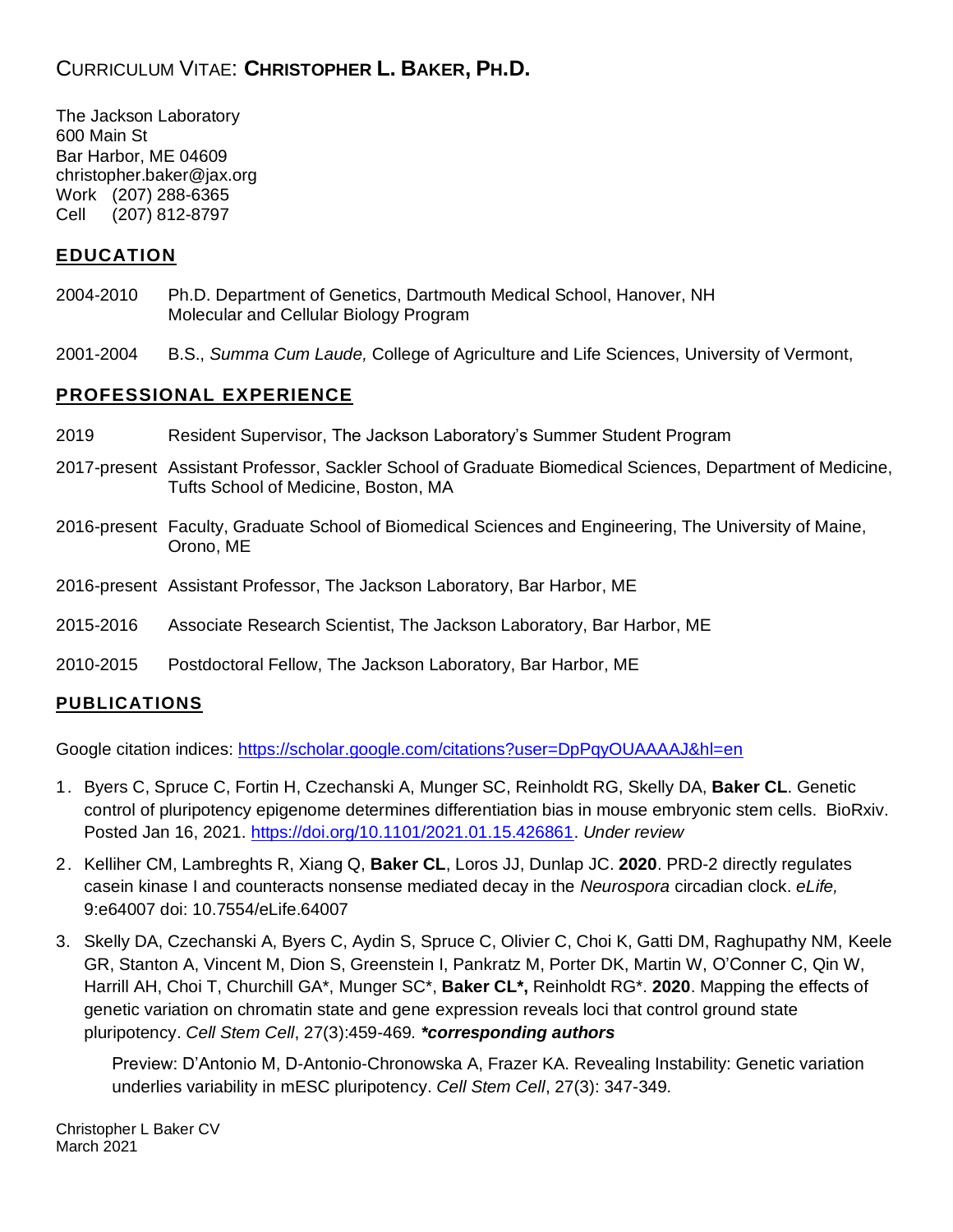# CURRICULUM VITAE: **CHRISTOPHER L. BAKER, PH.D.**

The Jackson Laboratory 600 Main St Bar Harbor, ME 04609 christopher.baker@jax.org Work (207) 288-6365 Cell (207) 812-8797

## **EDUCATION**

- 2004-2010 Ph.D. Department of Genetics, Dartmouth Medical School, Hanover, NH Molecular and Cellular Biology Program
- 2001-2004 B.S., *Summa Cum Laude,* College of Agriculture and Life Sciences, University of Vermont,

## **PROFESSIONAL EXPERIENCE**

- 2019 Resident Supervisor, The Jackson Laboratory's Summer Student Program
- 2017-present Assistant Professor, Sackler School of Graduate Biomedical Sciences, Department of Medicine, Tufts School of Medicine, Boston, MA
- 2016-present Faculty, Graduate School of Biomedical Sciences and Engineering, The University of Maine, Orono, ME
- 2016-present Assistant Professor, The Jackson Laboratory, Bar Harbor, ME
- 2015-2016 Associate Research Scientist, The Jackson Laboratory, Bar Harbor, ME
- 2010-2015 Postdoctoral Fellow, The Jackson Laboratory, Bar Harbor, ME

## **PUBLICATIONS**

Google citation indices:<https://scholar.google.com/citations?user=DpPqyOUAAAAJ&hl=en>

- 1. Byers C, Spruce C, Fortin H, Czechanski A, Munger SC, Reinholdt RG, Skelly DA, **Baker CL**. Genetic control of pluripotency epigenome determines differentiation bias in mouse embryonic stem cells. BioRxiv. Posted Jan 16, 2021. [https://doi.org/10.1101/2021.01.15.426861.](https://doi.org/10.1101/2021.01.15.426861) *Under review*
- 2. Kelliher CM, Lambreghts R, Xiang Q, **Baker CL**, Loros JJ, Dunlap JC. **2020**. PRD-2 directly regulates casein kinase I and counteracts nonsense mediated decay in the *Neurospora* circadian clock. *eLife,*  9:e64007 doi: 10.7554/eLife.64007
- 3. Skelly DA, Czechanski A, Byers C, Aydin S, Spruce C, Olivier C, Choi K, Gatti DM, Raghupathy NM, Keele GR, Stanton A, Vincent M, Dion S, Greenstein I, Pankratz M, Porter DK, Martin W, O'Conner C, Qin W, Harrill AH, Choi T, Churchill GA\*, Munger SC\*, **Baker CL\*,** Reinholdt RG\*. **2020**. Mapping the effects of genetic variation on chromatin state and gene expression reveals loci that control ground state pluripotency. *Cell Stem Cell*, 27(3):459-469*. \*corresponding authors*

Preview: D'Antonio M, D-Antonio-Chronowska A, Frazer KA. Revealing Instability: Genetic variation underlies variability in mESC pluripotency. *Cell Stem Cell*, 27(3): 347-349*.*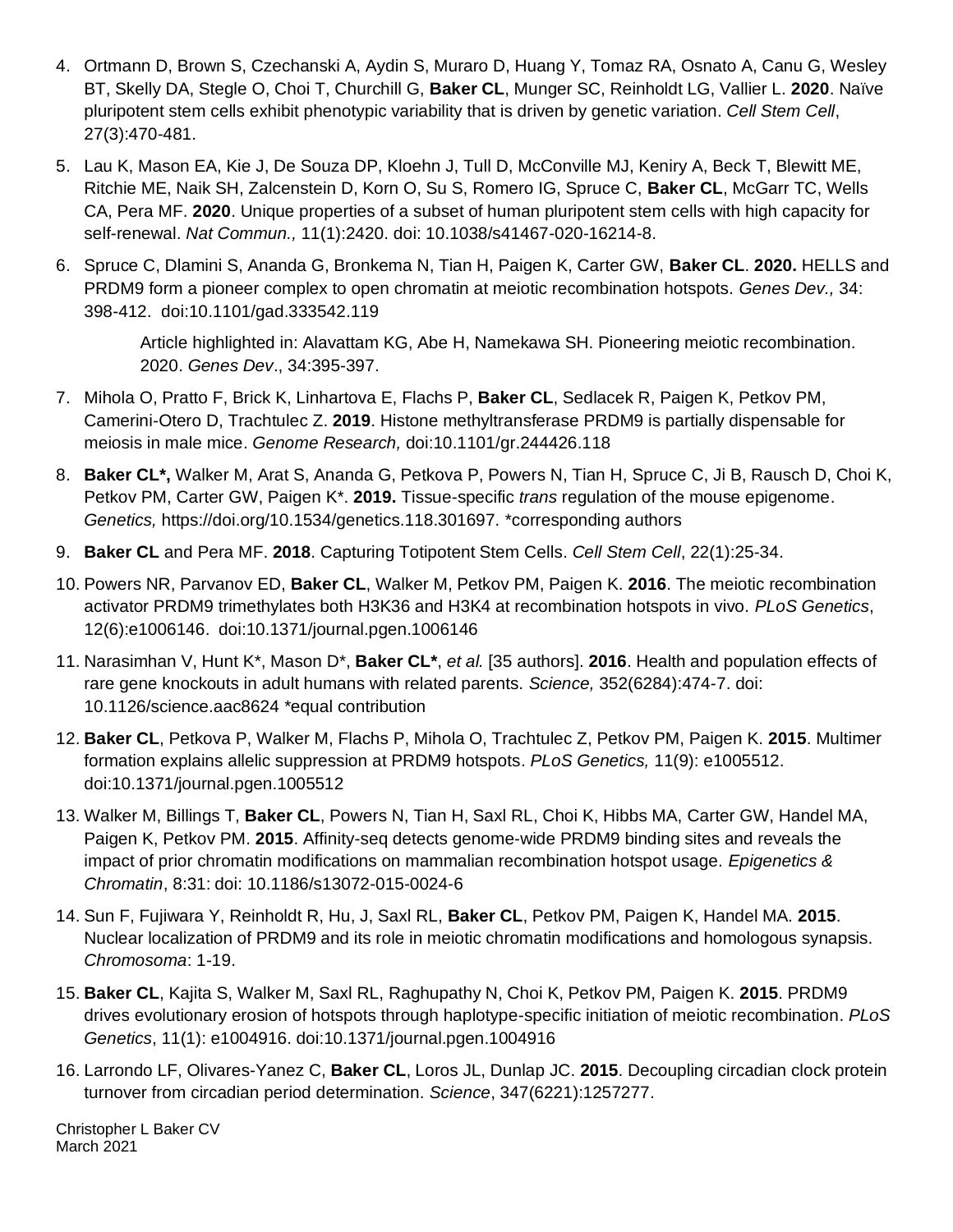- 4. Ortmann D, Brown S, Czechanski A, Aydin S, Muraro D, Huang Y, Tomaz RA, Osnato A, Canu G, Wesley BT, Skelly DA, Stegle O, Choi T, Churchill G, **Baker CL**, Munger SC, Reinholdt LG, Vallier L. **2020**. Naïve pluripotent stem cells exhibit phenotypic variability that is driven by genetic variation. *Cell Stem Cell*, 27(3):470-481.
- 5. Lau K, Mason EA, Kie J, De Souza DP, Kloehn J, Tull D, McConville MJ, Keniry A, Beck T, Blewitt ME, Ritchie ME, Naik SH, Zalcenstein D, Korn O, Su S, Romero IG, Spruce C, **Baker CL**, McGarr TC, Wells CA, Pera MF. **2020**. Unique properties of a subset of human pluripotent stem cells with high capacity for self-renewal. *Nat Commun.,* 11(1):2420. doi: 10.1038/s41467-020-16214-8.
- 6. Spruce C, Dlamini S, Ananda G, Bronkema N, Tian H, Paigen K, Carter GW, **Baker CL**. **2020.** HELLS and PRDM9 form a pioneer complex to open chromatin at meiotic recombination hotspots. *Genes Dev.,* 34: 398-412. doi:10.1101/gad.333542.119

Article highlighted in: Alavattam KG, Abe H, Namekawa SH. Pioneering meiotic recombination. 2020. *Genes Dev*., 34:395-397.

- 7. Mihola O, Pratto F, Brick K, Linhartova E, Flachs P, **Baker CL**, Sedlacek R, Paigen K, Petkov PM, Camerini-Otero D, Trachtulec Z. **2019**. Histone methyltransferase PRDM9 is partially dispensable for meiosis in male mice. *Genome Research,* doi:10.1101/gr.244426.118
- 8. **Baker CL\*,** Walker M, Arat S, Ananda G, Petkova P, Powers N, Tian H, Spruce C, Ji B, Rausch D, Choi K, Petkov PM, Carter GW, Paigen K\*. **2019.** Tissue-specific *trans* regulation of the mouse epigenome. *Genetics,* https://doi.org/10.1534/genetics.118.301697*.* \*corresponding authors
- 9. **Baker CL** and Pera MF. **2018**. Capturing Totipotent Stem Cells. *Cell Stem Cell*, 22(1):25-34.
- 10. Powers NR, Parvanov ED, **Baker CL**, Walker M, Petkov PM, Paigen K. **2016**. The meiotic recombination activator PRDM9 trimethylates both H3K36 and H3K4 at recombination hotspots in vivo. *PLoS Genetics*, 12(6):e1006146. doi:10.1371/journal.pgen.1006146
- 11. Narasimhan V, Hunt K\*, Mason D\*, **Baker CL\***, *et al.* [35 authors]. **2016**. Health and population effects of rare gene knockouts in adult humans with related parents. *Science,* 352(6284):474-7. doi: 10.1126/science.aac8624 \*equal contribution
- 12. **Baker CL**, Petkova P, Walker M, Flachs P, Mihola O, Trachtulec Z, Petkov PM, Paigen K. **2015**. Multimer formation explains allelic suppression at PRDM9 hotspots. *PLoS Genetics,* 11(9): e1005512. doi:10.1371/journal.pgen.1005512
- 13. Walker M, Billings T, **Baker CL**, Powers N, Tian H, Saxl RL, Choi K, Hibbs MA, Carter GW, Handel MA, Paigen K, Petkov PM. **2015**. Affinity-seq detects genome-wide PRDM9 binding sites and reveals the impact of prior chromatin modifications on mammalian recombination hotspot usage. *Epigenetics & Chromatin*, 8:31: doi: 10.1186/s13072-015-0024-6
- 14. Sun F, Fujiwara Y, Reinholdt R, Hu, J, Saxl RL, **Baker CL**, Petkov PM, Paigen K, Handel MA. **2015**. Nuclear localization of PRDM9 and its role in meiotic chromatin modifications and homologous synapsis. *Chromosoma*: 1-19.
- 15. **Baker CL**, Kajita S, Walker M, Saxl RL, Raghupathy N, Choi K, Petkov PM, Paigen K. **2015**. PRDM9 drives evolutionary erosion of hotspots through haplotype-specific initiation of meiotic recombination. *PLoS Genetics*, 11(1): e1004916. doi:10.1371/journal.pgen.1004916
- 16. Larrondo LF, Olivares-Yanez C, **Baker CL**, Loros JL, Dunlap JC. **2015**. Decoupling circadian clock protein turnover from circadian period determination. *Science*, 347(6221):1257277.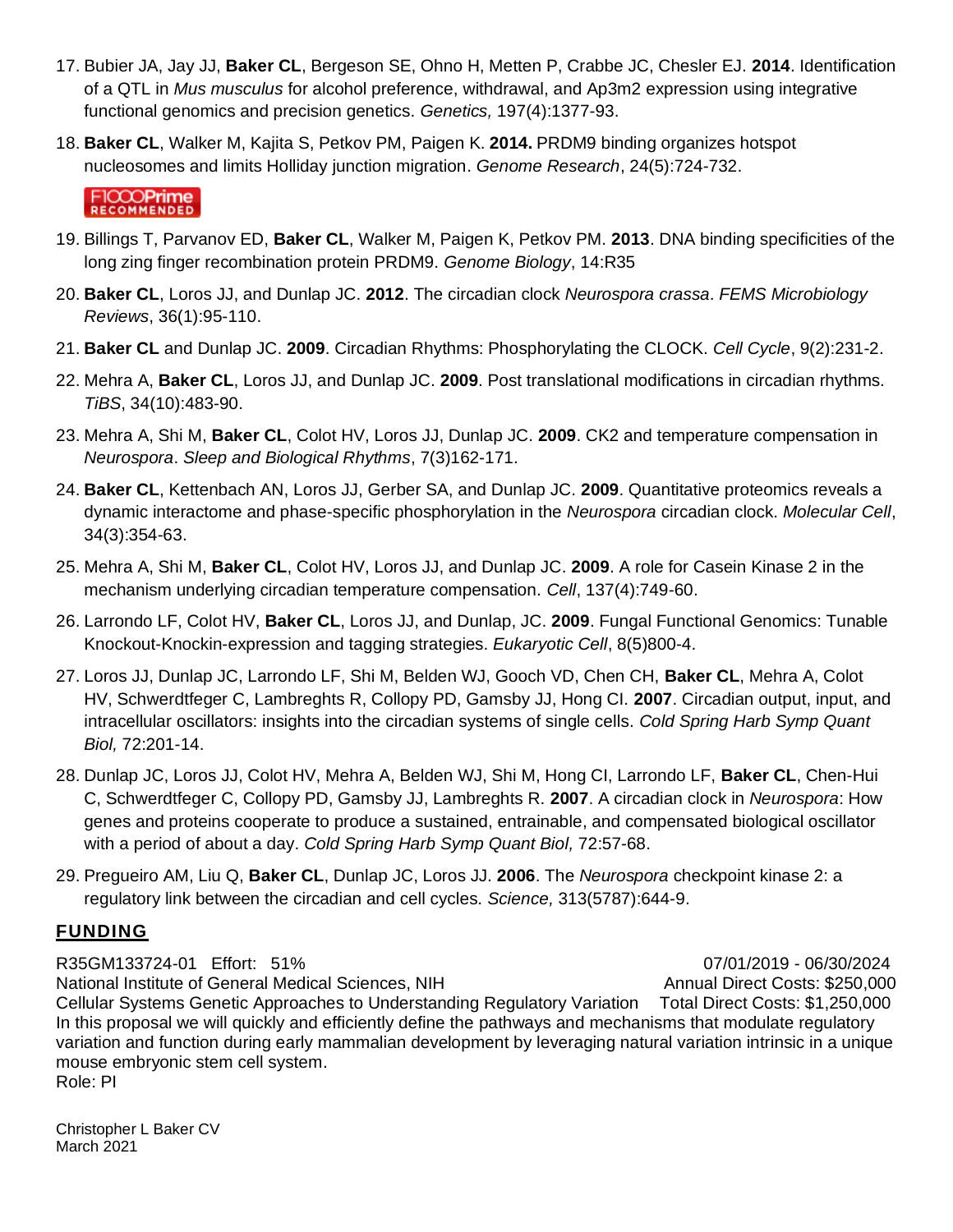- 17. Bubier JA, Jay JJ, **Baker CL**, Bergeson SE, Ohno H, Metten P, Crabbe JC, Chesler EJ. **2014**. Identification of a QTL in *Mus musculus* for alcohol preference, withdrawal, and Ap3m2 expression using integrative functional genomics and precision genetics. *Genetics,* 197(4):1377-93.
- 18. **Baker CL**, Walker M, Kajita S, Petkov PM, Paigen K. **2014.** PRDM9 binding organizes hotspot nucleosomes and limits Holliday junction migration. *Genome Research*, 24(5):724-732.

# FICCOPrime

- 19. Billings T, Parvanov ED, **Baker CL**, Walker M, Paigen K, Petkov PM. **2013**. DNA binding specificities of the long zing finger recombination protein PRDM9. *Genome Biology*, 14:R35
- 20. **Baker CL**, Loros JJ, and Dunlap JC. **2012**. The circadian clock *Neurospora crassa*. *FEMS Microbiology Reviews*, 36(1):95-110.
- 21. **Baker CL** and Dunlap JC. **2009**. Circadian Rhythms: Phosphorylating the CLOCK. *Cell Cycle*, 9(2):231-2.
- 22. Mehra A, **Baker CL**, Loros JJ, and Dunlap JC. **2009**. Post translational modifications in circadian rhythms. *TiBS*, 34(10):483-90.
- 23. Mehra A, Shi M, **Baker CL**, Colot HV, Loros JJ, Dunlap JC. **2009**. CK2 and temperature compensation in *Neurospora*. *Sleep and Biological Rhythms*, 7(3)162-171.
- 24. **Baker CL**, Kettenbach AN, Loros JJ, Gerber SA, and Dunlap JC. **2009**. Quantitative proteomics reveals a dynamic interactome and phase-specific phosphorylation in the *Neurospora* circadian clock. *Molecular Cell*, 34(3):354-63.
- 25. Mehra A, Shi M, **Baker CL**, Colot HV, Loros JJ, and Dunlap JC. **2009**. A role for Casein Kinase 2 in the mechanism underlying circadian temperature compensation. *Cell*, 137(4):749-60.
- 26. Larrondo LF, Colot HV, **Baker CL**, Loros JJ, and Dunlap, JC. **2009**. Fungal Functional Genomics: Tunable Knockout-Knockin-expression and tagging strategies. *Eukaryotic Cell*, 8(5)800-4.
- 27. Loros JJ, Dunlap JC, Larrondo LF, Shi M, Belden WJ, Gooch VD, Chen CH, **Baker CL**, Mehra A, Colot HV, Schwerdtfeger C, Lambreghts R, Collopy PD, Gamsby JJ, Hong CI. **2007**. Circadian output, input, and intracellular oscillators: insights into the circadian systems of single cells. *Cold Spring Harb Symp Quant Biol,* 72:201-14.
- 28. Dunlap JC, Loros JJ, Colot HV, Mehra A, Belden WJ, Shi M, Hong CI, Larrondo LF, **Baker CL**, Chen-Hui C, Schwerdtfeger C, Collopy PD, Gamsby JJ, Lambreghts R. **2007**. A circadian clock in *Neurospora*: How genes and proteins cooperate to produce a sustained, entrainable, and compensated biological oscillator with a period of about a day. *Cold Spring Harb Symp Quant Biol,* 72:57-68.
- 29. Pregueiro AM, Liu Q, **Baker CL**, Dunlap JC, Loros JJ. **2006**. The *Neurospora* checkpoint kinase 2: a regulatory link between the circadian and cell cycles. *Science,* 313(5787):644-9.

# **FUNDING**

R35GM133724-01 Effort: 51% 07/01/2019 - 06/30/2024 National Institute of General Medical Sciences, NIH Annual Direct Costs: \$250,000 Cellular Systems Genetic Approaches to Understanding Regulatory Variation Total Direct Costs: \$1,250,000 In this proposal we will quickly and efficiently define the pathways and mechanisms that modulate regulatory variation and function during early mammalian development by leveraging natural variation intrinsic in a unique mouse embryonic stem cell system. Role: PI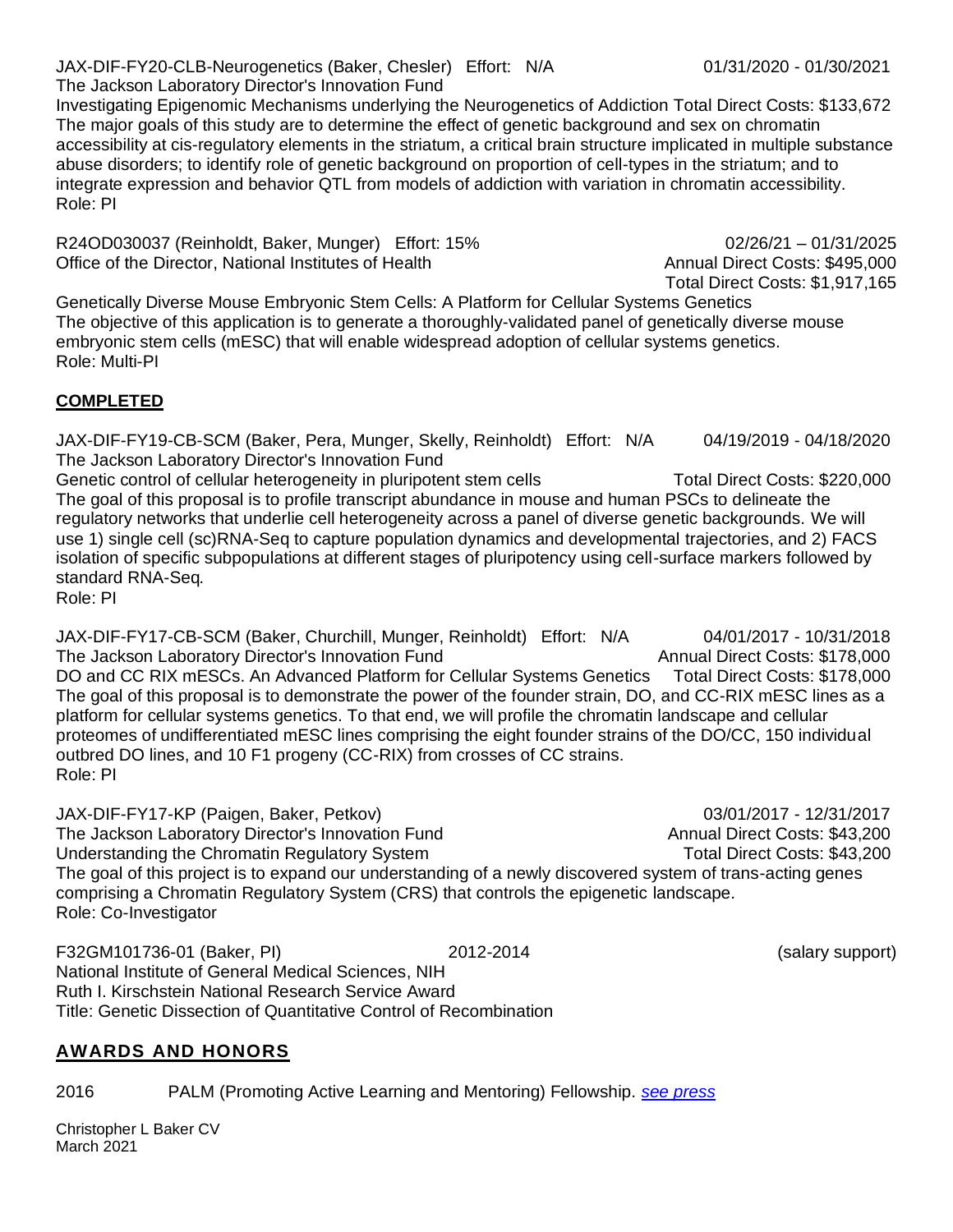JAX-DIF-FY20-CLB-Neurogenetics (Baker, Chesler) Effort: N/A 01/31/2020 - 01/30/2021 The Jackson Laboratory Director's Innovation Fund

Investigating Epigenomic Mechanisms underlying the Neurogenetics of Addiction Total Direct Costs: \$133,672 The major goals of this study are to determine the effect of genetic background and sex on chromatin accessibility at cis-regulatory elements in the striatum, a critical brain structure implicated in multiple substance abuse disorders; to identify role of genetic background on proportion of cell-types in the striatum; and to integrate expression and behavior QTL from models of addiction with variation in chromatin accessibility. Role: PI

R24OD030037 (Reinholdt, Baker, Munger) Effort: 15% 02/26/21 – 01/31/2025 Office of the Director, National Institutes of Health Annual Direct Costs: \$495,000

Genetically Diverse Mouse Embryonic Stem Cells: A Platform for Cellular Systems Genetics The objective of this application is to generate a thoroughly-validated panel of genetically diverse mouse embryonic stem cells (mESC) that will enable widespread adoption of cellular systems genetics. Role: Multi-PI

## **COMPLETED**

JAX-DIF-FY19-CB-SCM (Baker, Pera, Munger, Skelly, Reinholdt) Effort: N/A 04/19/2019 - 04/18/2020 The Jackson Laboratory Director's Innovation Fund

Genetic control of cellular heterogeneity in pluripotent stem cells Total Direct Costs: \$220,000 The goal of this proposal is to profile transcript abundance in mouse and human PSCs to delineate the regulatory networks that underlie cell heterogeneity across a panel of diverse genetic backgrounds. We will use 1) single cell (sc)RNA-Seq to capture population dynamics and developmental trajectories, and 2) FACS isolation of specific subpopulations at different stages of pluripotency using cell-surface markers followed by standard RNA-Seq*.* 

Role: PI

JAX-DIF-FY17-CB-SCM (Baker, Churchill, Munger, Reinholdt) Effort: N/A 04/01/2017 - 10/31/2018 The Jackson Laboratory Director's Innovation Fund Annual Direct Costs: \$178,000 DO and CC RIX mESCs. An Advanced Platform for Cellular Systems Genetics Total Direct Costs: \$178,000 The goal of this proposal is to demonstrate the power of the founder strain, DO, and CC-RIX mESC lines as a platform for cellular systems genetics. To that end, we will profile the chromatin landscape and cellular proteomes of undifferentiated mESC lines comprising the eight founder strains of the DO/CC, 150 individual outbred DO lines, and 10 F1 progeny (CC-RIX) from crosses of CC strains. Role: PI

JAX-DIF-FY17-KP (Paigen, Baker, Petkov) 03/01/2017 - 12/31/2017 The Jackson Laboratory Director's Innovation Fund Annual Direct Costs: \$43,200 Understanding the Chromatin Regulatory System Total Direct Costs: \$43,200 The goal of this project is to expand our understanding of a newly discovered system of trans-acting genes comprising a Chromatin Regulatory System (CRS) that controls the epigenetic landscape. Role: Co-Investigator

F32GM101736-01 (Baker, PI) 2012-2014 (salary support) National Institute of General Medical Sciences, NIH Ruth I. Kirschstein National Research Service Award Title: Genetic Dissection of Quantitative Control of Recombination

## **AWARDS AND HONORS**

2016 PALM (Promoting Active Learning and Mentoring) Fellowship. *[see press](http://genestogenomes.org/putting-active-learning-into-practice-an-interview-with-palm-fellow-christopher-baker-and-palm-mentor-michelle-smith/)*

Christopher L Baker CV March 2021

Total Direct Costs: \$1,917,165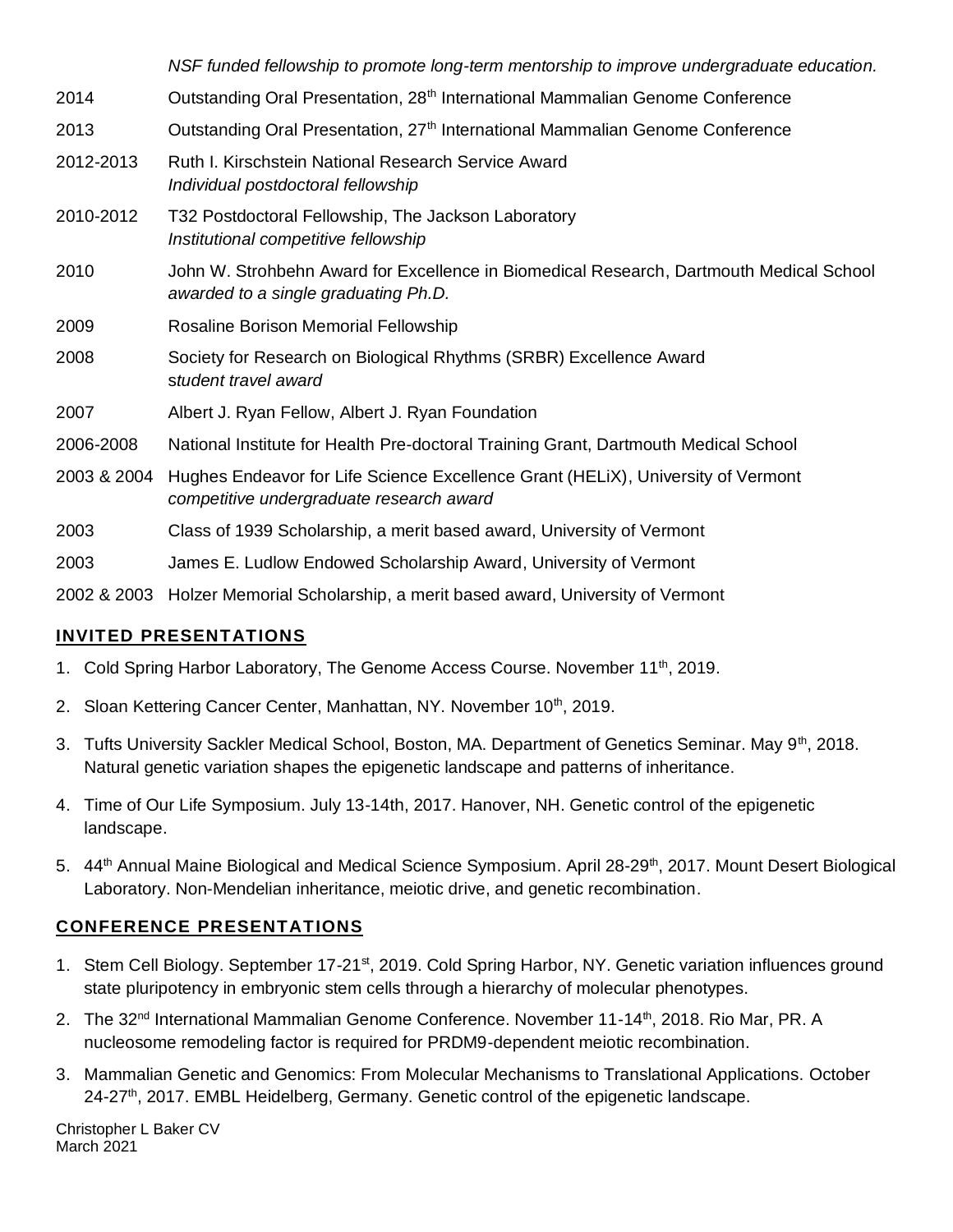*NSF funded fellowship to promote long-term mentorship to improve undergraduate education.* 2014 **Outstanding Oral Presentation, 28<sup>th</sup> International Mammalian Genome Conference** 2013 Outstanding Oral Presentation, 27th International Mammalian Genome Conference 2012-2013 Ruth I. Kirschstein National Research Service Award *Individual postdoctoral fellowship* 2010-2012 T32 Postdoctoral Fellowship, The Jackson Laboratory *Institutional competitive fellowship* 2010 John W. Strohbehn Award for Excellence in Biomedical Research, Dartmouth Medical School *awarded to a single graduating Ph.D.*  2009 Rosaline Borison Memorial Fellowship 2008 Society for Research on Biological Rhythms (SRBR) Excellence Award s*tudent travel award* 2007 Albert J. Ryan Fellow, Albert J. Ryan Foundation 2006-2008 National Institute for Health Pre-doctoral Training Grant, Dartmouth Medical School 2003 & 2004 Hughes Endeavor for Life Science Excellence Grant (HELiX), University of Vermont *competitive undergraduate research award* 2003 Class of 1939 Scholarship, a merit based award, University of Vermont 2003 James E. Ludlow Endowed Scholarship Award, University of Vermont

2002 & 2003 Holzer Memorial Scholarship, a merit based award, University of Vermont

# **INVITED PRESENTATIONS**

- 1. Cold Spring Harbor Laboratory, The Genome Access Course. November 11<sup>th</sup>, 2019.
- 2. Sloan Kettering Cancer Center, Manhattan, NY. November 10<sup>th</sup>, 2019.
- 3. Tufts University Sackler Medical School, Boston, MA. Department of Genetics Seminar. May 9<sup>th</sup>, 2018. Natural genetic variation shapes the epigenetic landscape and patterns of inheritance.
- 4. Time of Our Life Symposium. July 13-14th, 2017. Hanover, NH. Genetic control of the epigenetic landscape.
- 5. 44<sup>th</sup> Annual Maine Biological and Medical Science Symposium. April 28-29<sup>th</sup>, 2017. Mount Desert Biological Laboratory. Non-Mendelian inheritance, meiotic drive, and genetic recombination.

## **CONFERENCE PRESENTATIONS**

- 1. Stem Cell Biology. September 17-21<sup>st</sup>, 2019. Cold Spring Harbor, NY. Genetic variation influences ground state pluripotency in embryonic stem cells through a hierarchy of molecular phenotypes.
- 2. The 32<sup>nd</sup> International Mammalian Genome Conference. November 11-14<sup>th</sup>, 2018. Rio Mar, PR. A nucleosome remodeling factor is required for PRDM9-dependent meiotic recombination.
- 3. Mammalian Genetic and Genomics: From Molecular Mechanisms to Translational Applications. October  $24-27$ th, 2017. EMBL Heidelberg, Germany. Genetic control of the epigenetic landscape.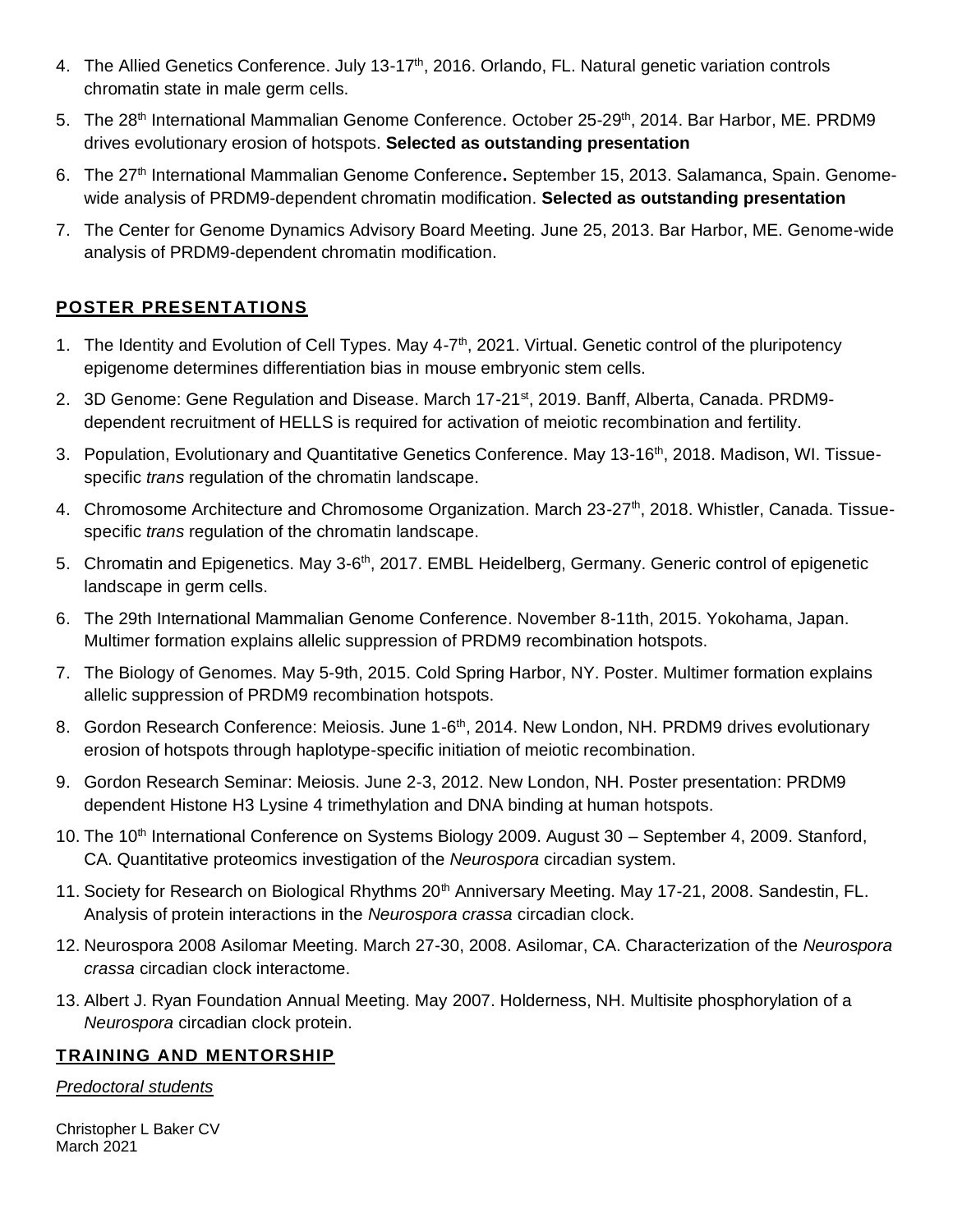- 4. The Allied Genetics Conference. July 13-17<sup>th</sup>, 2016. Orlando, FL. Natural genetic variation controls chromatin state in male germ cells.
- 5. The 28<sup>th</sup> International Mammalian Genome Conference. October 25-29<sup>th</sup>, 2014. Bar Harbor, ME. PRDM9 drives evolutionary erosion of hotspots. **Selected as outstanding presentation**
- 6. The 27th International Mammalian Genome Conference**.** September 15, 2013. Salamanca, Spain. Genomewide analysis of PRDM9-dependent chromatin modification. **Selected as outstanding presentation**
- 7. The Center for Genome Dynamics Advisory Board Meeting. June 25, 2013. Bar Harbor, ME. Genome-wide analysis of PRDM9-dependent chromatin modification.

# **POSTER PRESENTATIONS**

- 1. The Identity and Evolution of Cell Types. May 4-7<sup>th</sup>, 2021. Virtual. Genetic control of the pluripotency epigenome determines differentiation bias in mouse embryonic stem cells.
- 2. 3D Genome: Gene Regulation and Disease. March 17-21<sup>st</sup>, 2019. Banff, Alberta, Canada. PRDM9dependent recruitment of HELLS is required for activation of meiotic recombination and fertility.
- 3. Population, Evolutionary and Quantitative Genetics Conference. May 13-16<sup>th</sup>, 2018. Madison, WI. Tissuespecific *trans* regulation of the chromatin landscape.
- 4. Chromosome Architecture and Chromosome Organization. March 23-27<sup>th</sup>, 2018. Whistler, Canada. Tissuespecific *trans* regulation of the chromatin landscape.
- 5. Chromatin and Epigenetics. May 3-6<sup>th</sup>, 2017. EMBL Heidelberg, Germany. Generic control of epigenetic landscape in germ cells.
- 6. The 29th International Mammalian Genome Conference. November 8-11th, 2015. Yokohama, Japan. Multimer formation explains allelic suppression of PRDM9 recombination hotspots.
- 7. The Biology of Genomes. May 5-9th, 2015. Cold Spring Harbor, NY. Poster. Multimer formation explains allelic suppression of PRDM9 recombination hotspots.
- 8. Gordon Research Conference: Meiosis. June 1-6<sup>th</sup>, 2014. New London, NH. PRDM9 drives evolutionary erosion of hotspots through haplotype-specific initiation of meiotic recombination.
- 9. Gordon Research Seminar: Meiosis. June 2-3, 2012. New London, NH. Poster presentation: PRDM9 dependent Histone H3 Lysine 4 trimethylation and DNA binding at human hotspots.
- 10. The 10<sup>th</sup> International Conference on Systems Biology 2009. August 30 September 4, 2009. Stanford, CA. Quantitative proteomics investigation of the *Neurospora* circadian system.
- 11. Society for Research on Biological Rhythms 20<sup>th</sup> Anniversary Meeting. May 17-21, 2008. Sandestin, FL. Analysis of protein interactions in the *Neurospora crassa* circadian clock.
- 12. Neurospora 2008 Asilomar Meeting. March 27-30, 2008. Asilomar, CA. Characterization of the *Neurospora crassa* circadian clock interactome.
- 13. Albert J. Ryan Foundation Annual Meeting. May 2007. Holderness, NH. Multisite phosphorylation of a *Neurospora* circadian clock protein.

# **TRAINING AND MENTORSHIP**

## *Predoctoral students*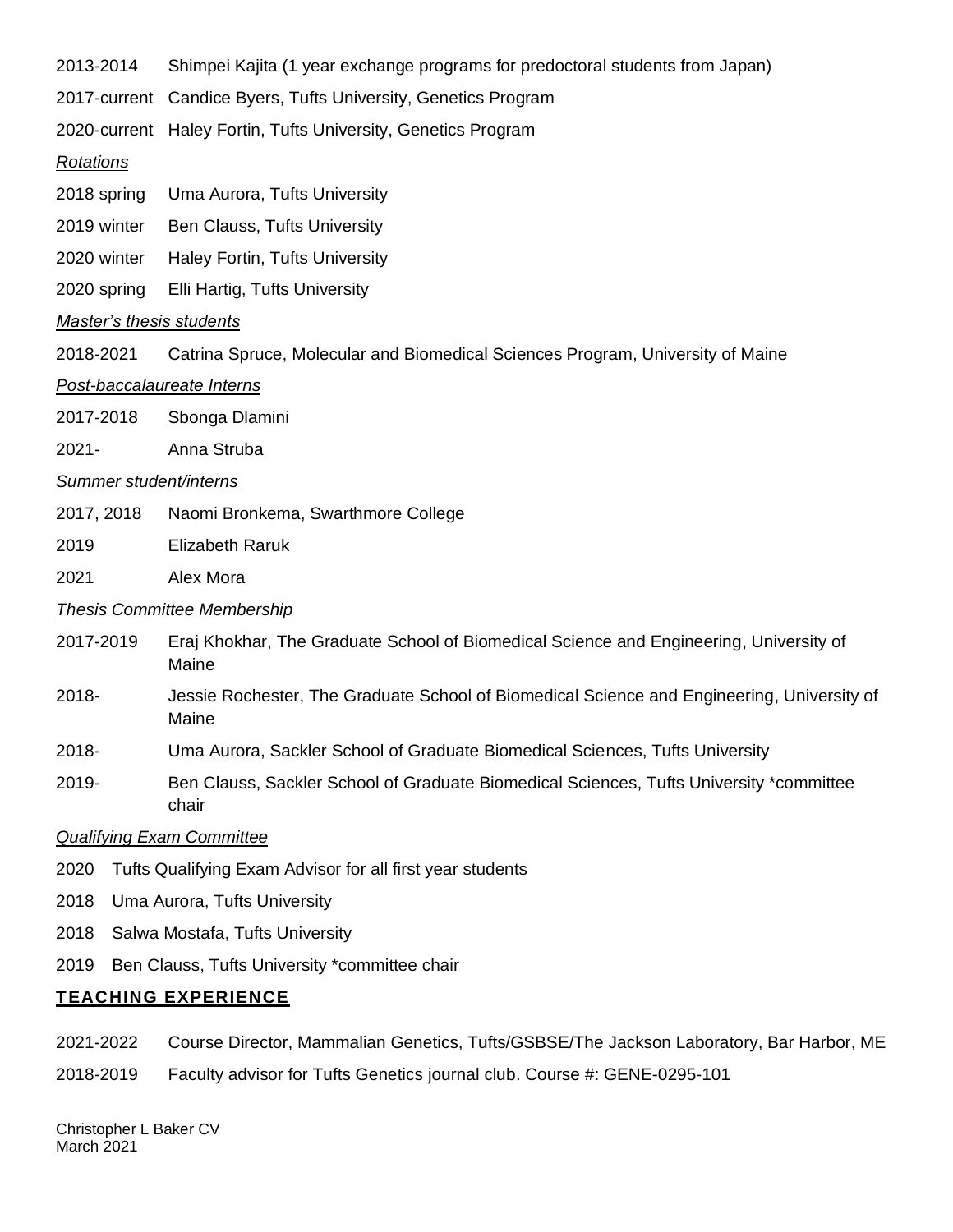2013-2014 Shimpei Kajita (1 year exchange programs for predoctoral students from Japan)

2017-current Candice Byers, Tufts University, Genetics Program

2020-current Haley Fortin, Tufts University, Genetics Program

#### *Rotations*

- 2018 spring Uma Aurora, Tufts University
- 2019 winter Ben Clauss, Tufts University
- 2020 winter Haley Fortin, Tufts University
- 2020 spring Elli Hartig, Tufts University

#### *Master's thesis students*

2018-2021 Catrina Spruce, Molecular and Biomedical Sciences Program, University of Maine

#### *Post-baccalaureate Interns*

- 2017-2018 Sbonga Dlamini
- 2021- Anna Struba

#### *Summer student/interns*

- 2017, 2018 Naomi Bronkema, Swarthmore College
- 2019 Elizabeth Raruk
- 2021 Alex Mora

#### *Thesis Committee Membership*

- 2017-2019 Eraj Khokhar, The Graduate School of Biomedical Science and Engineering, University of Maine
- 2018- Jessie Rochester, The Graduate School of Biomedical Science and Engineering, University of Maine
- 2018- Uma Aurora, Sackler School of Graduate Biomedical Sciences, Tufts University
- 2019- Ben Clauss, Sackler School of Graduate Biomedical Sciences, Tufts University \*committee chair

#### *Qualifying Exam Committee*

- 2020 Tufts Qualifying Exam Advisor for all first year students
- 2018 Uma Aurora, Tufts University
- 2018 Salwa Mostafa, Tufts University
- 2019 Ben Clauss, Tufts University \*committee chair

#### **TEACHING EXPERIENCE**

- 2021-2022 Course Director, Mammalian Genetics, Tufts/GSBSE/The Jackson Laboratory, Bar Harbor, ME
- 2018-2019 Faculty advisor for Tufts Genetics journal club. Course #: GENE-0295-101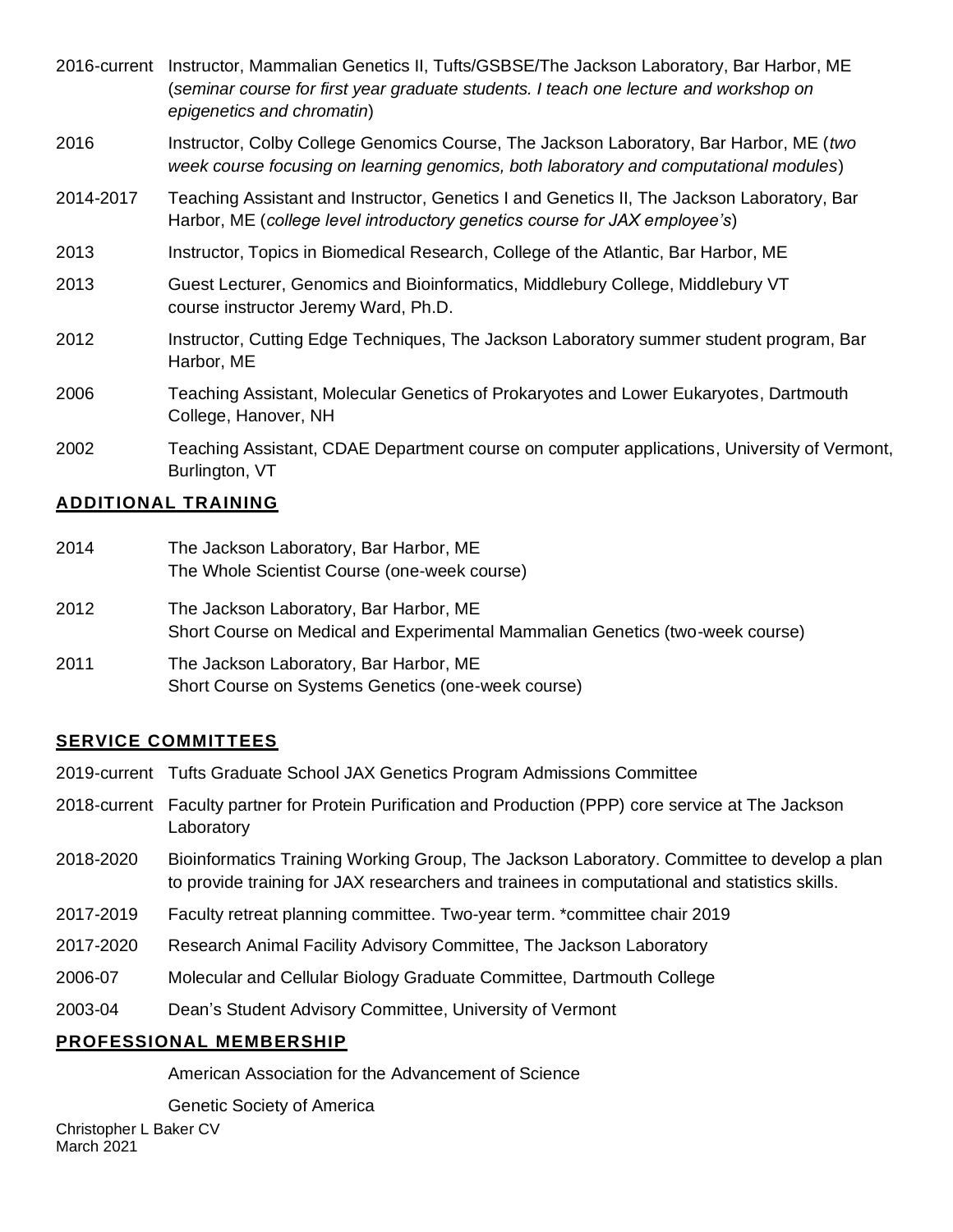|           | 2016-current Instructor, Mammalian Genetics II, Tufts/GSBSE/The Jackson Laboratory, Bar Harbor, ME<br>(seminar course for first year graduate students. I teach one lecture and workshop on<br>epigenetics and chromatin) |
|-----------|---------------------------------------------------------------------------------------------------------------------------------------------------------------------------------------------------------------------------|
| 2016      | Instructor, Colby College Genomics Course, The Jackson Laboratory, Bar Harbor, ME (two<br>week course focusing on learning genomics, both laboratory and computational modules)                                           |
| 2014-2017 | Teaching Assistant and Instructor, Genetics I and Genetics II, The Jackson Laboratory, Bar<br>Harbor, ME (college level introductory genetics course for JAX employee's)                                                  |
| 2013      | Instructor, Topics in Biomedical Research, College of the Atlantic, Bar Harbor, ME                                                                                                                                        |
| 2013      | Guest Lecturer, Genomics and Bioinformatics, Middlebury College, Middlebury VT<br>course instructor Jeremy Ward, Ph.D.                                                                                                    |
| 2012      | Instructor, Cutting Edge Techniques, The Jackson Laboratory summer student program, Bar<br>Harbor, ME                                                                                                                     |
| 2006      | Teaching Assistant, Molecular Genetics of Prokaryotes and Lower Eukaryotes, Dartmouth<br>College, Hanover, NH                                                                                                             |
| 2002      | Teaching Assistant, CDAE Department course on computer applications, University of Vermont,                                                                                                                               |

## **ADDITIONAL TRAINING**

Burlington, VT

| 2014 | The Jackson Laboratory, Bar Harbor, ME<br>The Whole Scientist Course (one-week course)                                  |
|------|-------------------------------------------------------------------------------------------------------------------------|
| 2012 | The Jackson Laboratory, Bar Harbor, ME<br>Short Course on Medical and Experimental Mammalian Genetics (two-week course) |
| 2011 | The Jackson Laboratory, Bar Harbor, ME<br>Short Course on Systems Genetics (one-week course)                            |

## **SERVICE COMMITTEES**

|                         | 2019-current Tufts Graduate School JAX Genetics Program Admissions Committee                                                                                                               |  |
|-------------------------|--------------------------------------------------------------------------------------------------------------------------------------------------------------------------------------------|--|
|                         | 2018-current Faculty partner for Protein Purification and Production (PPP) core service at The Jackson<br>Laboratory                                                                       |  |
| 2018-2020               | Bioinformatics Training Working Group, The Jackson Laboratory. Committee to develop a plan<br>to provide training for JAX researchers and trainees in computational and statistics skills. |  |
| 2017-2019               | Faculty retreat planning committee. Two-year term. *committee chair 2019                                                                                                                   |  |
| 2017-2020               | Research Animal Facility Advisory Committee, The Jackson Laboratory                                                                                                                        |  |
| 2006-07                 | Molecular and Cellular Biology Graduate Committee, Dartmouth College                                                                                                                       |  |
| 2003-04                 | Dean's Student Advisory Committee, University of Vermont                                                                                                                                   |  |
| PROFESSIONAL MEMBERSHIP |                                                                                                                                                                                            |  |

American Association for the Advancement of Science

Genetic Society of America